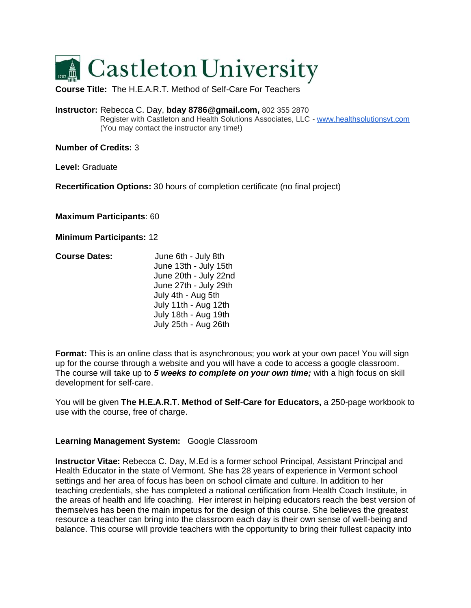

**Course Title:** The H.E.A.R.T. Method of Self-Care For Teachers

**Instructor:** Rebecca C. Day, **bday 8786@gmail.com,** 802 355 2870 Register with Castleton and Health Solutions Associates, LLC - [www.healthsolutionsvt.com](http://www.healthsolutionsvt.com/) (You may contact the instructor any time!)

**Number of Credits:** 3

**Level:** Graduate

**Recertification Options:** 30 hours of completion certificate (no final project)

**Maximum Participants**: 60

**Minimum Participants:** 12

| <b>Course Dates:</b> | June 6th - July 8th   |
|----------------------|-----------------------|
|                      | June 13th - July 15th |
|                      | June 20th - July 22nd |
|                      | June 27th - July 29th |
|                      | July 4th - Aug 5th    |
|                      | July 11th - Aug 12th  |
|                      | July 18th - Aug 19th  |
|                      | July 25th - Aug 26th  |

**Format:** This is an online class that is asynchronous; you work at your own pace! You will sign up for the course through a website and you will have a code to access a google classroom. The course will take up to *5 weeks to complete on your own time;* with a high focus on skill development for self-care.

You will be given **The H.E.A.R.T. Method of Self-Care for Educators,** a 250-page workbook to use with the course, free of charge.

#### **Learning Management System:** Google Classroom

**Instructor Vitae:** Rebecca C. Day, M.Ed is a former school Principal, Assistant Principal and Health Educator in the state of Vermont. She has 28 years of experience in Vermont school settings and her area of focus has been on school climate and culture. In addition to her teaching credentials, she has completed a national certification from Health Coach Institute, in the areas of health and life coaching. Her interest in helping educators reach the best version of themselves has been the main impetus for the design of this course. She believes the greatest resource a teacher can bring into the classroom each day is their own sense of well-being and balance. This course will provide teachers with the opportunity to bring their fullest capacity into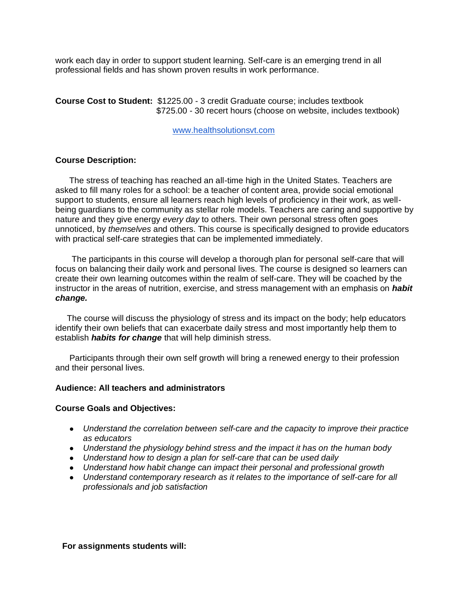work each day in order to support student learning. Self-care is an emerging trend in all professional fields and has shown proven results in work performance.

**Course Cost to Student:** \$1225.00 - 3 credit Graduate course; includes textbook \$725.00 - 30 recert hours (choose on website, includes textbook)

[www.healthsolutionsvt.com](http://www.healthsolutionsvt.com/) 

#### **Course Description:**

The stress of teaching has reached an all-time high in the United States. Teachers are asked to fill many roles for a school: be a teacher of content area, provide social emotional support to students, ensure all learners reach high levels of proficiency in their work, as wellbeing guardians to the community as stellar role models. Teachers are caring and supportive by nature and they give energy *every day* to others. Their own personal stress often goes unnoticed, by *themselves* and others. This course is specifically designed to provide educators with practical self-care strategies that can be implemented immediately.

 The participants in this course will develop a thorough plan for personal self-care that will focus on balancing their daily work and personal lives. The course is designed so learners can create their own learning outcomes within the realm of self-care. They will be coached by the instructor in the areas of nutrition, exercise, and stress management with an emphasis on *habit change.*

 The course will discuss the physiology of stress and its impact on the body; help educators identify their own beliefs that can exacerbate daily stress and most importantly help them to establish *habits for change* that will help diminish stress.

 Participants through their own self growth will bring a renewed energy to their profession and their personal lives.

#### **Audience: All teachers and administrators**

#### **Course Goals and Objectives:**

- *Understand the correlation between self-care and the capacity to improve their practice as educators*
- *Understand the physiology behind stress and the impact it has on the human body*
- *Understand how to design a plan for self-care that can be used daily*
- *Understand how habit change can impact their personal and professional growth*
- *Understand contemporary research as it relates to the importance of self-care for all professionals and job satisfaction*

#### **For assignments students will:**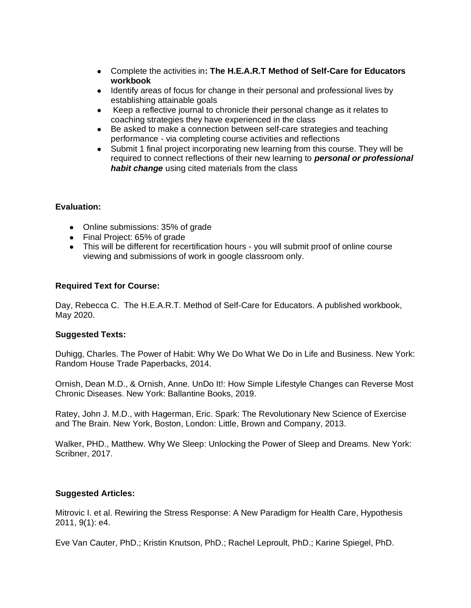- Complete the activities in**: The H.E.A.R.T Method of Self-Care for Educators workbook**
- Identify areas of focus for change in their personal and professional lives by establishing attainable goals
- Keep a reflective journal to chronicle their personal change as it relates to coaching strategies they have experienced in the class
- Be asked to make a connection between self-care strategies and teaching performance - via completing course activities and reflections
- Submit 1 final project incorporating new learning from this course. They will be required to connect reflections of their new learning to *personal or professional habit change* using cited materials from the class

### **Evaluation:**

- Online submissions: 35% of grade
- Final Project: 65% of grade
- This will be different for recertification hours you will submit proof of online course viewing and submissions of work in google classroom only.

### **Required Text for Course:**

Day, Rebecca C. The H.E.A.R.T. Method of Self-Care for Educators. A published workbook, May 2020.

### **Suggested Texts:**

Duhigg, Charles. The Power of Habit: Why We Do What We Do in Life and Business. New York: Random House Trade Paperbacks, 2014.

Ornish, Dean M.D., & Ornish, Anne. UnDo It!: How Simple Lifestyle Changes can Reverse Most Chronic Diseases. New York: Ballantine Books, 2019.

Ratey, John J. M.D., with Hagerman, Eric. Spark: The Revolutionary New Science of Exercise and The Brain. New York, Boston, London: Little, Brown and Company, 2013.

Walker, PHD., Matthew. Why We Sleep: Unlocking the Power of Sleep and Dreams. New York: Scribner, 2017.

### **Suggested Articles:**

Mitrovic I. et al. Rewiring the Stress Response: A New Paradigm for Health Care, Hypothesis 2011, 9(1): e4.

Eve Van Cauter, PhD.; Kristin Knutson, PhD.; Rachel Leproult, PhD.; Karine Spiegel, PhD.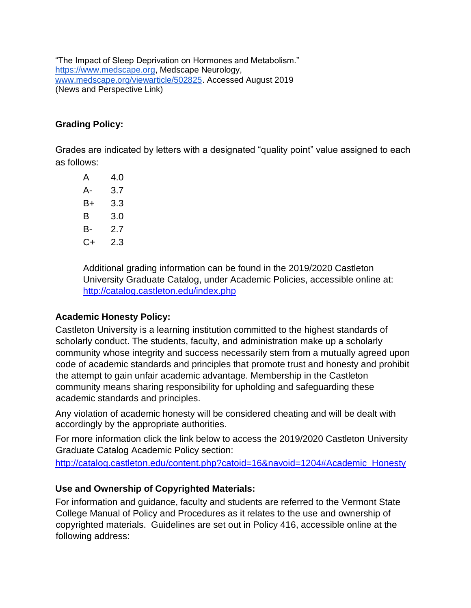"The Impact of Sleep Deprivation on Hormones and Metabolism." [https://www.medscape.org,](https://www.medscape.org/) Medscape Neurology, [www.medscape.org/viewarticle/502825.](http://www.medscape.org/viewarticle/502825) Accessed August 2019 (News and Perspective Link)

## **Grading Policy:**

Grades are indicated by letters with a designated "quality point" value assigned to each as follows:

| 4.0 |
|-----|
| 3.7 |
| 3.3 |
| 3.0 |
| 27  |
| 2.3 |
|     |

Additional grading information can be found in the 2019/2020 Castleton University Graduate Catalog, under Academic Policies, accessible online at: <http://catalog.castleton.edu/index.php>

### **Academic Honesty Policy:**

Castleton University is a learning institution committed to the highest standards of scholarly conduct. The students, faculty, and administration make up a scholarly community whose integrity and success necessarily stem from a mutually agreed upon code of academic standards and principles that promote trust and honesty and prohibit the attempt to gain unfair academic advantage. Membership in the Castleton community means sharing responsibility for upholding and safeguarding these academic standards and principles.

Any violation of academic honesty will be considered cheating and will be dealt with accordingly by the appropriate authorities.

For more information click the link below to access the 2019/2020 Castleton University Graduate Catalog Academic Policy section:

[http://catalog.castleton.edu/content.php?catoid=16&navoid=1204#Academic\\_Honesty](http://catalog.castleton.edu/content.php?catoid=16&navoid=1204%23Academic_Honesty)

## **Use and Ownership of Copyrighted Materials:**

For information and guidance, faculty and students are referred to the Vermont State College Manual of Policy and Procedures as it relates to the use and ownership of copyrighted materials. Guidelines are set out in Policy 416, accessible online at the following address: